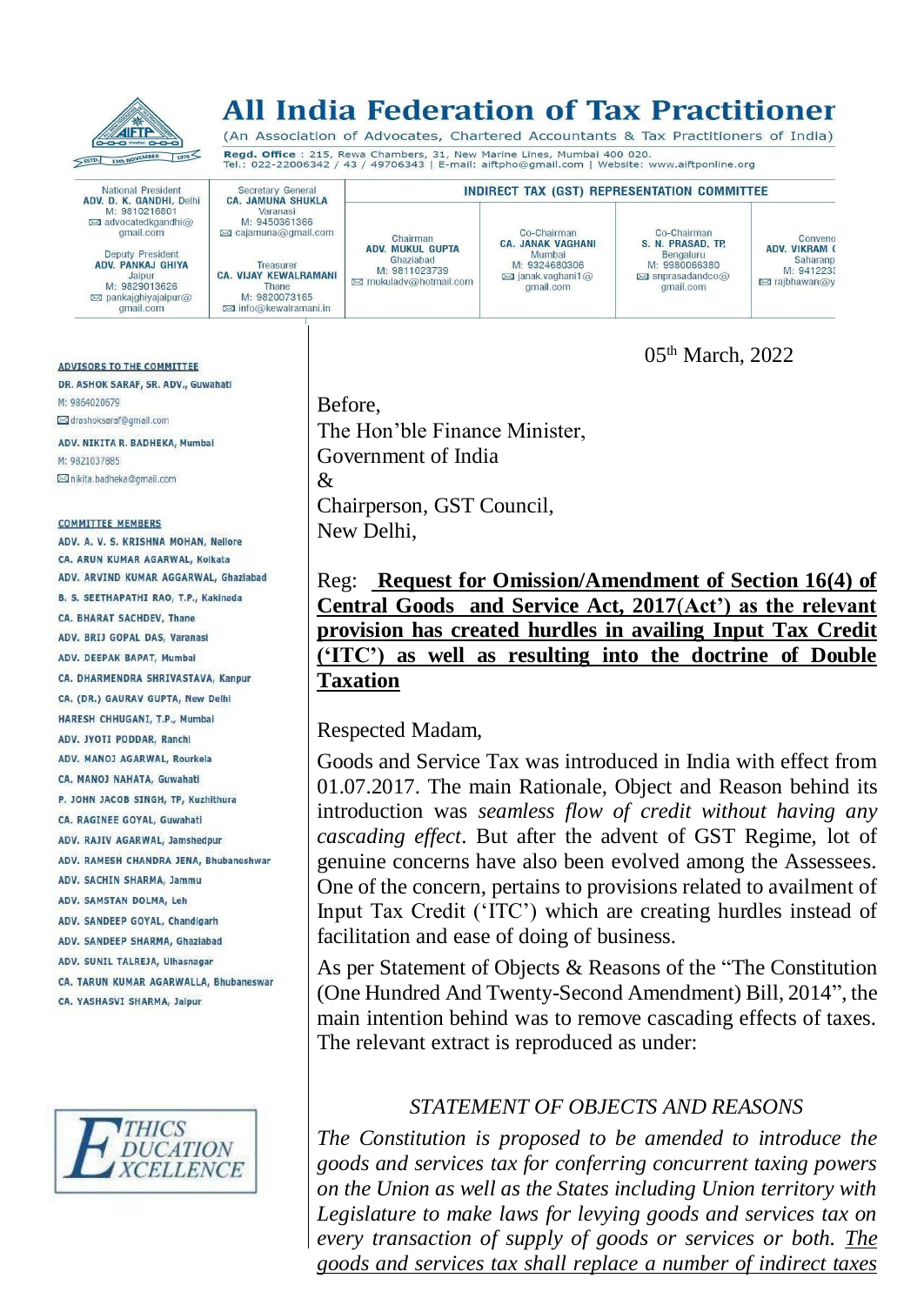

# **All India Federation of Tax Practitioner**

(An Association of Advocates, Chartered Accountants & Tax Practitioners of India) Regd. Office : 215, Rewa Chambers, 31, New Marine Lines, Mumbai 400 020.<br>Tel.: 022-22006342 / 43 / 49706343 | E-mail: aiftpho@gmail.com | Website: www.aiftponline.org

Co-Chairman

CA. JANAK VAGHANI

Mumbai

M: 9324680306

 $\approx$  janak.vaghani1@

gmail.com

**INDIRECT TAX (GST) REPRESENTATION COMMITTEE** 

National President<br>**ADV. D. K. GANDHI,** Delhi<br>M: 9810216801 advocatedkgandhi@ gmail.com

Secretary General<br>CA. JAMUNA SHUKLA

Varanasi

M: 9450361366

⊠ cajamuna@gmail.com

Treasurer<br>CA. VIJAY KEWALRAMANI

Thane<br>M: 9820073165

**⊠** info@kewalramani.in

Deputy President ADV. PANKAJ GHIYA Jainur M: 9829013626  $\boxtimes$  pankaighivaiaipur $\widehat{\omega}$ gmail.com

#### **ADVISORS TO THE COMMITTEE**

DR. ASHOK SARAF, SR. ADV., Guwahati M: 9864020679 ⊠ drashoksaraf@gmail.com

ADV. NIKITA R. BADHEKA, Mumbai M: 9821037885 ⊠ nikita.badheka@qmail.com

#### **COMMITTEE MEMBERS**

ADV. A. V. S. KRISHNA MOHAN, Nellore CA. ARUN KUMAR AGARWAL, Kolkata ADV. ARVIND KUMAR AGGARWAL, Ghaziabad B. S. SEETHAPATHI RAO, T.P., Kakinada CA. BHARAT SACHDEV, Thane ADV, BRIJ GOPAL DAS, Varanasi ADV. DEEPAK BAPAT, Mumbal CA. DHARMENDRA SHRIVASTAVA, Kanpur CA. (DR.) GAURAV GUPTA, New Delhi HARESH CHHUGANI, T.P., Mumbai ADV. JYOTI PODDAR, Ranchi ADV, MANOJ AGARWAL, Rourkela CA, MANOJ NAHATA, Guwahati P. JOHN JACOB SINGH, TP, Kuzhithura CA. RAGINEE GOYAL, Guwahati ADV. RAJIV AGARWAL, Jamshedour ADV, RAMESH CHANDRA JENA, Bhubaneshwar ADV. SACHIN SHARMA, Jammu ADV. SAMSTAN DOLMA, Leh ADV. SANDEEP GOYAL, Chandigarh ADV. SANDEEP SHARMA, Ghaziabad ADV. SUNIL TALREJA, Ulhasnagar CA. TARUN KUMAR AGARWALLA, Bhubaneswar CA. YASHASVI SHARMA, Jaipur



Before, The Hon'ble Finance Minister, Government of India & Chairperson, GST Council, New Delhi,

Chairman<br>ADV. MUKUL GUPTA

Ghaziabad

M: 9811023739

⊠ mukuladv@hotmail.com

Reg: **Request for Omission/Amendment of Section 16(4) of Central Goods and Service Act, 2017**(**Act') as the relevant provision has created hurdles in availing Input Tax Credit ('ITC') as well as resulting into the doctrine of Double Taxation**

05th March, 2022

Conveno<br>ADV. VIKRAM (

**⊠** rajbhawan@y

Saharanp<br>M: 9412233

Co-Chairman

S. N. PRASAD, TP.

Bengaluru<br>M: 9980066380

⊠ snprasadandco@

gmail.com

## Respected Madam,

Goods and Service Tax was introduced in India with effect from 01.07.2017. The main Rationale, Object and Reason behind its introduction was *seamless flow of credit without having any cascading effect*. But after the advent of GST Regime, lot of genuine concerns have also been evolved among the Assessees. One of the concern, pertains to provisions related to availment of Input Tax Credit ('ITC') which are creating hurdles instead of facilitation and ease of doing of business.

As per Statement of Objects & Reasons of the "The Constitution (One Hundred And Twenty-Second Amendment) Bill, 2014", the main intention behind was to remove cascading effects of taxes. The relevant extract is reproduced as under:

## *STATEMENT OF OBJECTS AND REASONS*

*The Constitution is proposed to be amended to introduce the goods and services tax for conferring concurrent taxing powers on the Union as well as the States including Union territory with Legislature to make laws for levying goods and services tax on every transaction of supply of goods or services or both. The goods and services tax shall replace a number of indirect taxes*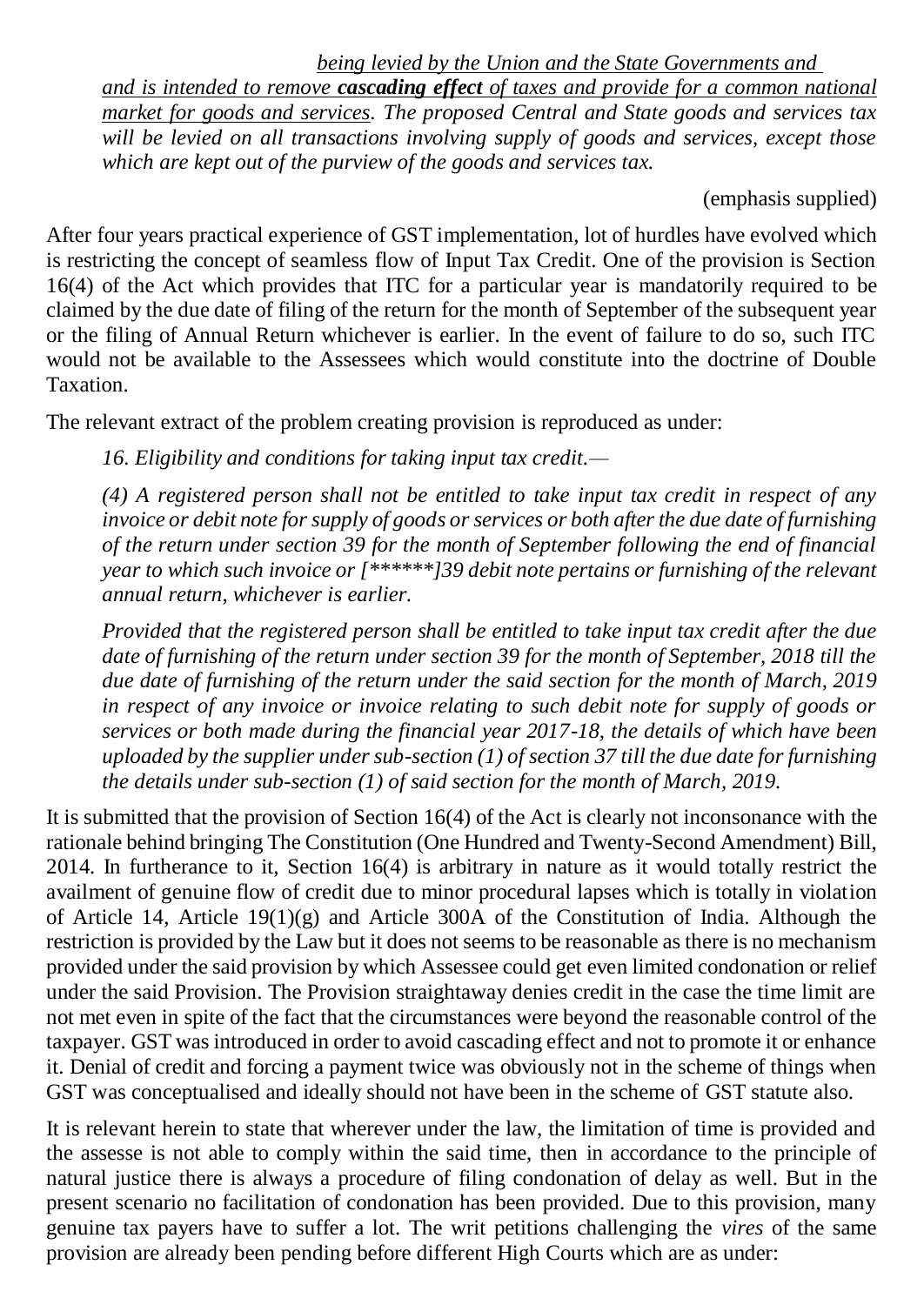# *being levied by the Union and the State Governments and*

*and is intended to remove cascading effect of taxes and provide for a common national market for goods and services. The proposed Central and State goods and services tax will be levied on all transactions involving supply of goods and services, except those which are kept out of the purview of the goods and services tax.*

# (emphasis supplied)

After four years practical experience of GST implementation, lot of hurdles have evolved which is restricting the concept of seamless flow of Input Tax Credit. One of the provision is Section 16(4) of the Act which provides that ITC for a particular year is mandatorily required to be claimed by the due date of filing of the return for the month of September of the subsequent year or the filing of Annual Return whichever is earlier. In the event of failure to do so, such ITC would not be available to the Assessees which would constitute into the doctrine of Double Taxation.

The relevant extract of the problem creating provision is reproduced as under:

*16. Eligibility and conditions for taking input tax credit.—*

*(4) A registered person shall not be entitled to take input tax credit in respect of any invoice or debit note for supply of goods or services or both after the due date of furnishing of the return under section 39 for the month of September following the end of financial year to which such invoice or [\*\*\*\*\*\*]39 debit note pertains or furnishing of the relevant annual return, whichever is earlier.*

*Provided that the registered person shall be entitled to take input tax credit after the due date of furnishing of the return under section 39 for the month of September, 2018 till the due date of furnishing of the return under the said section for the month of March, 2019 in respect of any invoice or invoice relating to such debit note for supply of goods or services or both made during the financial year 2017-18, the details of which have been uploaded by the supplier under sub-section (1) of section 37 till the due date for furnishing the details under sub-section (1) of said section for the month of March, 2019.*

It is submitted that the provision of Section 16(4) of the Act is clearly not inconsonance with the rationale behind bringing The Constitution (One Hundred and Twenty-Second Amendment) Bill, 2014. In furtherance to it, Section 16(4) is arbitrary in nature as it would totally restrict the availment of genuine flow of credit due to minor procedural lapses which is totally in violation of Article 14, Article 19(1)(g) and Article 300A of the Constitution of India. Although the restriction is provided by the Law but it does not seems to be reasonable as there is no mechanism provided under the said provision by which Assessee could get even limited condonation or relief under the said Provision. The Provision straightaway denies credit in the case the time limit are not met even in spite of the fact that the circumstances were beyond the reasonable control of the taxpayer. GST was introduced in order to avoid cascading effect and not to promote it or enhance it. Denial of credit and forcing a payment twice was obviously not in the scheme of things when GST was conceptualised and ideally should not have been in the scheme of GST statute also.

It is relevant herein to state that wherever under the law, the limitation of time is provided and the assesse is not able to comply within the said time, then in accordance to the principle of natural justice there is always a procedure of filing condonation of delay as well. But in the present scenario no facilitation of condonation has been provided. Due to this provision, many genuine tax payers have to suffer a lot. The writ petitions challenging the *vires* of the same provision are already been pending before different High Courts which are as under: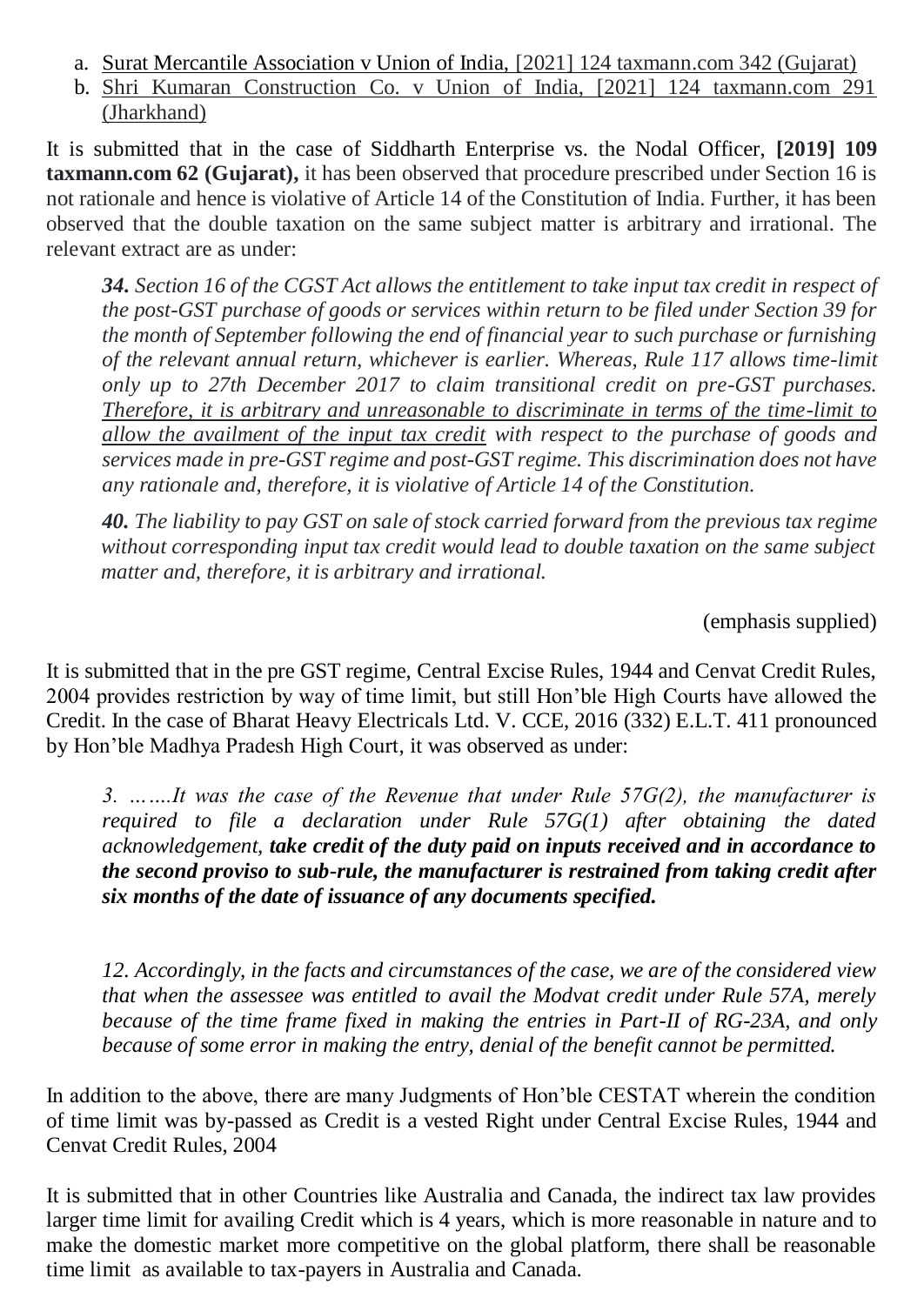- a. Surat Mercantile Association v Union of India, [2021] 124 taxmann.com 342 (Gujarat)
- b. Shri Kumaran Construction Co. v Union of India, [2021] 124 taxmann.com 291 (Jharkhand)

It is submitted that in the case of Siddharth Enterprise vs. the Nodal Officer, **[2019] 109 taxmann.com 62 (Gujarat),** it has been observed that procedure prescribed under Section 16 is not rationale and hence is violative of Article 14 of the Constitution of India. Further, it has been observed that the double taxation on the same subject matter is arbitrary and irrational. The relevant extract are as under:

*34. Section 16 of the CGST Act allows the entitlement to take input tax credit in respect of the post-GST purchase of goods or services within return to be filed under Section 39 for the month of September following the end of financial year to such purchase or furnishing of the relevant annual return, whichever is earlier. Whereas, Rule 117 allows time-limit only up to 27th December 2017 to claim transitional credit on pre-GST purchases. Therefore, it is arbitrary and unreasonable to discriminate in terms of the time-limit to allow the availment of the input tax credit with respect to the purchase of goods and services made in pre-GST regime and post-GST regime. This discrimination does not have any rationale and, therefore, it is violative of Article 14 of the Constitution.*

 *40. The liability to pay GST on sale of stock carried forward from the previous tax regime without corresponding input tax credit would lead to double taxation on the same subject matter and, therefore, it is arbitrary and irrational.*

(emphasis supplied)

It is submitted that in the pre GST regime, Central Excise Rules, 1944 and Cenvat Credit Rules, 2004 provides restriction by way of time limit, but still Hon'ble High Courts have allowed the Credit. In the case of Bharat Heavy Electricals Ltd. V. CCE, 2016 (332) E.L.T. 411 pronounced by Hon'ble Madhya Pradesh High Court, it was observed as under:

*3. …….It was the case of the Revenue that under Rule 57G(2), the manufacturer is required to file a declaration under Rule 57G(1) after obtaining the dated acknowledgement, take credit of the duty paid on inputs received and in accordance to the second proviso to sub-rule, the manufacturer is restrained from taking credit after six months of the date of issuance of any documents specified.*

*12. Accordingly, in the facts and circumstances of the case, we are of the considered view that when the assessee was entitled to avail the Modvat credit under Rule 57A, merely because of the time frame fixed in making the entries in Part-II of RG-23A, and only because of some error in making the entry, denial of the benefit cannot be permitted.*

In addition to the above, there are many Judgments of Hon'ble CESTAT wherein the condition of time limit was by-passed as Credit is a vested Right under Central Excise Rules, 1944 and Cenvat Credit Rules, 2004

It is submitted that in other Countries like Australia and Canada, the indirect tax law provides larger time limit for availing Credit which is 4 years, which is more reasonable in nature and to make the domestic market more competitive on the global platform, there shall be reasonable time limit as available to tax-payers in Australia and Canada.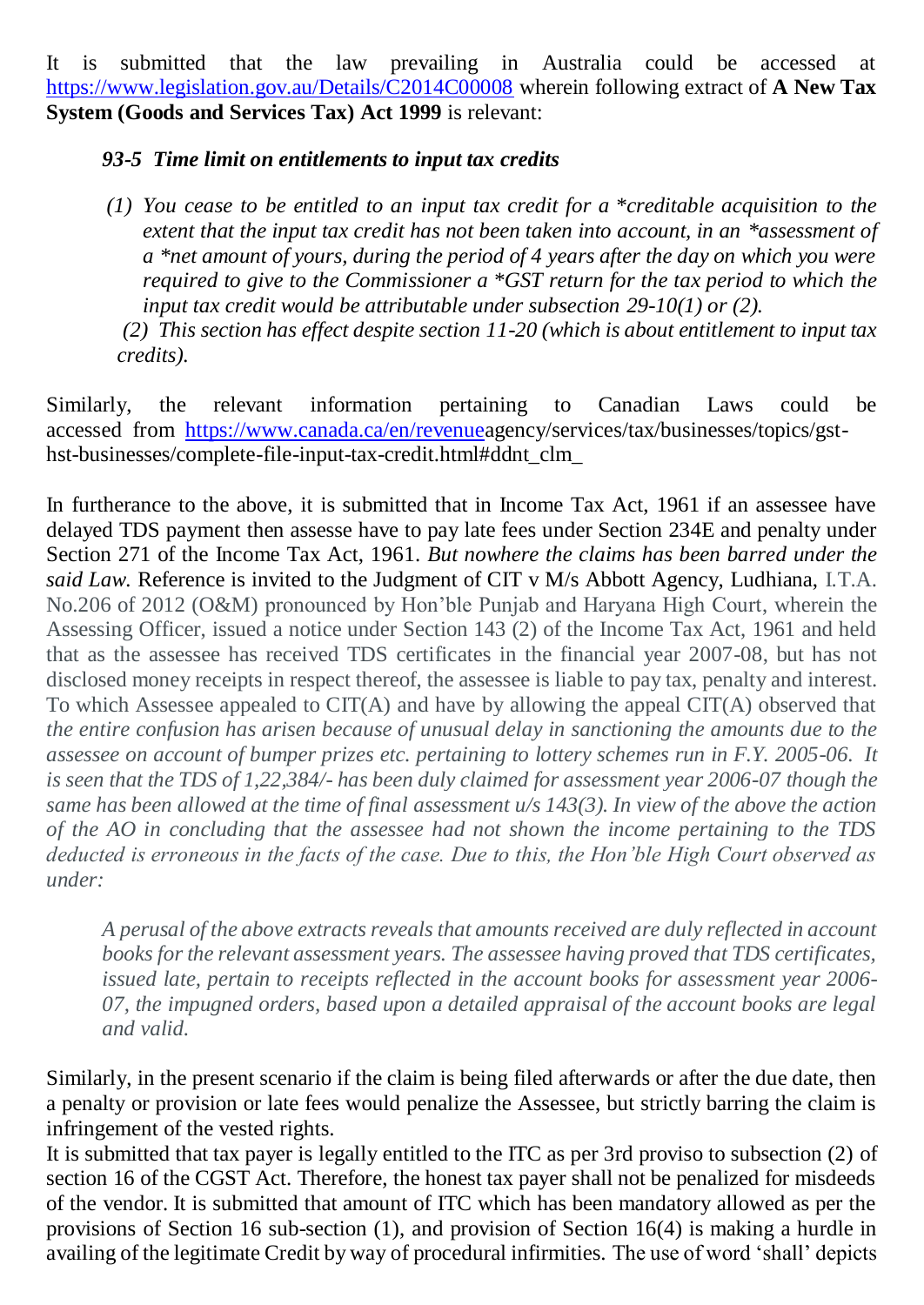It is submitted that the law prevailing in Australia could be accessed at <https://www.legislation.gov.au/Details/C2014C00008> wherein following extract of **A New Tax System (Goods and Services Tax) Act 1999** is relevant:

# *93-5 Time limit on entitlements to input tax credits*

*(1) You cease to be entitled to an input tax credit for a \*creditable acquisition to the extent that the input tax credit has not been taken into account, in an \*assessment of a \*net amount of yours, during the period of 4 years after the day on which you were required to give to the Commissioner a \*GST return for the tax period to which the input tax credit would be attributable under subsection 29-10(1) or (2).*

*(2) This section has effect despite section 11-20 (which is about entitlement to input tax credits).*

Similarly, the relevant information pertaining to Canadian Laws could be accessed from https://www.canada.ca/en/revenueagency/services/tax/businesses/topics/gsthst-businesses/complete-file-input-tax-credit.html#ddnt\_clm\_

In furtherance to the above, it is submitted that in Income Tax Act, 1961 if an assessee have delayed TDS payment then assesse have to pay late fees under Section 234E and penalty under Section 271 of the Income Tax Act, 1961. *But nowhere the claims has been barred under the said Law.* Reference is invited to the Judgment of CIT v M/s Abbott Agency, Ludhiana, I.T.A. No.206 of 2012 (O&M) pronounced by Hon'ble Punjab and Haryana High Court, wherein the Assessing Officer, issued a notice under Section 143 (2) of the Income Tax Act, 1961 and held that as the assessee has received TDS certificates in the financial year 2007-08, but has not disclosed money receipts in respect thereof, the assessee is liable to pay tax, penalty and interest. To which Assessee appealed to CIT(A) and have by allowing the appeal CIT(A) observed that *the entire confusion has arisen because of unusual delay in sanctioning the amounts due to the assessee on account of bumper prizes etc. pertaining to lottery schemes run in F.Y. 2005-06. It is seen that the TDS of 1,22,384/- has been duly claimed for assessment year 2006-07 though the same has been allowed at the time of final assessment u/s 143(3). In view of the above the action of the AO in concluding that the assessee had not shown the income pertaining to the TDS deducted is erroneous in the facts of the case. Due to this, the Hon'ble High Court observed as under:*

*A perusal of the above extracts reveals that amounts received are duly reflected in account books for the relevant assessment years. The assessee having proved that TDS certificates, issued late, pertain to receipts reflected in the account books for assessment year 2006- 07, the impugned orders, based upon a detailed appraisal of the account books are legal and valid.*

Similarly, in the present scenario if the claim is being filed afterwards or after the due date, then a penalty or provision or late fees would penalize the Assessee, but strictly barring the claim is infringement of the vested rights.

It is submitted that tax payer is legally entitled to the ITC as per 3rd proviso to subsection (2) of section 16 of the CGST Act. Therefore, the honest tax payer shall not be penalized for misdeeds of the vendor. It is submitted that amount of ITC which has been mandatory allowed as per the provisions of Section 16 sub-section (1), and provision of Section 16(4) is making a hurdle in availing of the legitimate Credit by way of procedural infirmities. The use of word 'shall' depicts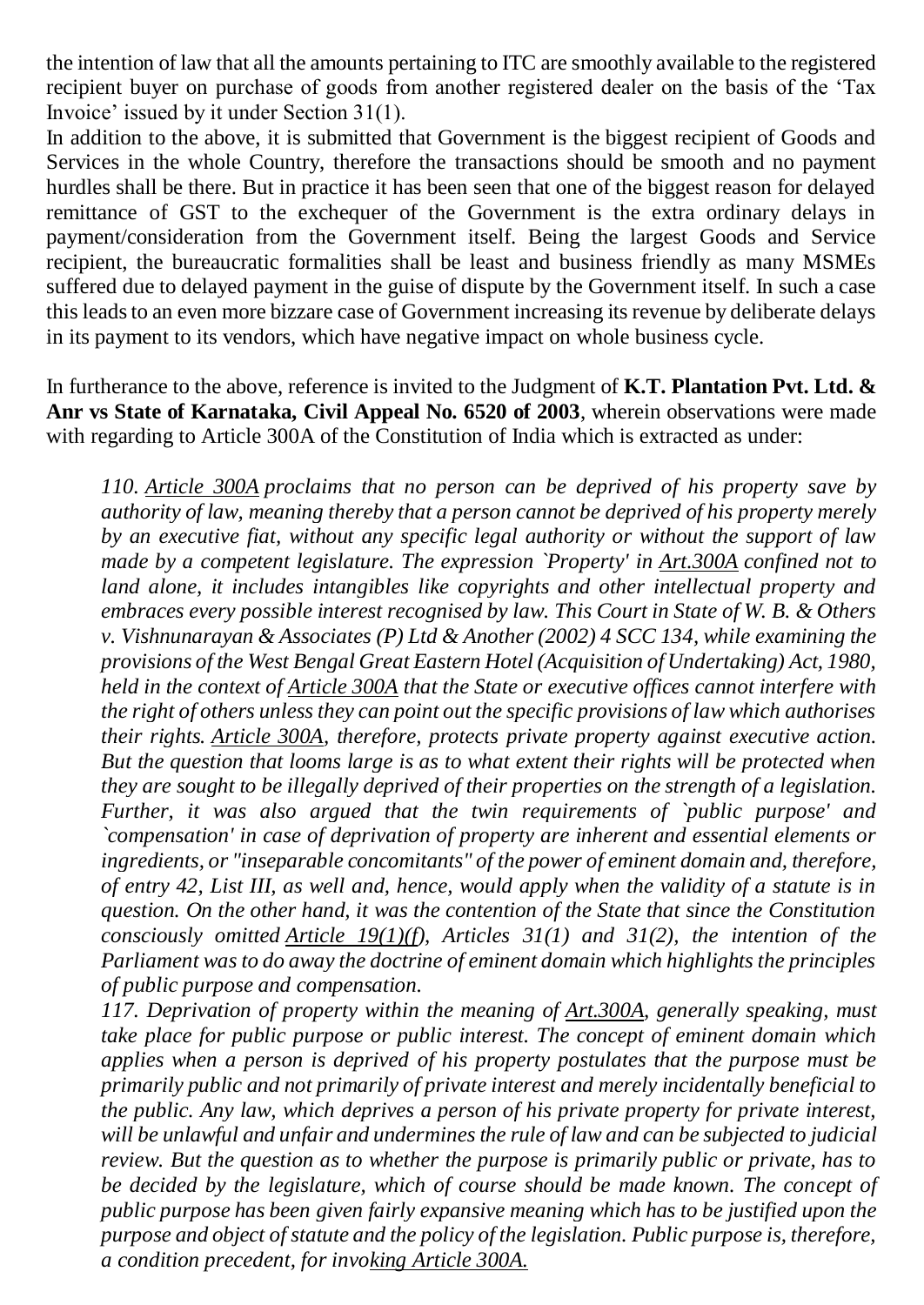the intention of law that all the amounts pertaining to ITC are smoothly available to the registered recipient buyer on purchase of goods from another registered dealer on the basis of the 'Tax Invoice' issued by it under Section 31(1).

In addition to the above, it is submitted that Government is the biggest recipient of Goods and Services in the whole Country, therefore the transactions should be smooth and no payment hurdles shall be there. But in practice it has been seen that one of the biggest reason for delayed remittance of GST to the exchequer of the Government is the extra ordinary delays in payment/consideration from the Government itself. Being the largest Goods and Service recipient, the bureaucratic formalities shall be least and business friendly as many MSMEs suffered due to delayed payment in the guise of dispute by the Government itself. In such a case this leads to an even more bizzare case of Government increasing its revenue by deliberate delays in its payment to its vendors, which have negative impact on whole business cycle.

In furtherance to the above, reference is invited to the Judgment of **K.T. Plantation Pvt. Ltd. & Anr vs State of Karnataka, Civil Appeal No. 6520 of 2003**, wherein observations were made with regarding to Article 300A of the Constitution of India which is extracted as under:

*110. [Article 300A](https://indiankanoon.org/doc/237570/) proclaims that no person can be deprived of his property save by authority of law, meaning thereby that a person cannot be deprived of his property merely by an executive fiat, without any specific legal authority or without the support of law made by a competent legislature. The expression `Property' in [Art.300A](https://indiankanoon.org/doc/237570/) confined not to land alone, it includes intangibles like copyrights and other intellectual property and embraces every possible interest recognised by law. This Court in State of W. B. & Others v. Vishnunarayan & Associates (P) Ltd & Another (2002) 4 SCC 134, while examining the provisions of the West Bengal Great Eastern Hotel (Acquisition of Undertaking) Act, 1980, held in the context of [Article 300A](https://indiankanoon.org/doc/237570/) that the State or executive offices cannot interfere with the right of others unless they can point out the specific provisions of law which authorises their rights. [Article 300A,](https://indiankanoon.org/doc/237570/) therefore, protects private property against executive action. But the question that looms large is as to what extent their rights will be protected when they are sought to be illegally deprived of their properties on the strength of a legislation. Further, it was also argued that the twin requirements of `public purpose' and `compensation' in case of deprivation of property are inherent and essential elements or ingredients, or "inseparable concomitants" of the power of eminent domain and, therefore, of entry 42, List III, as well and, hence, would apply when the validity of a statute is in question. On the other hand, it was the contention of the State that since the Constitution consciously omitted [Article 19\(1\)\(f\)](https://indiankanoon.org/doc/258019/), Articles 31(1) and 31(2), the intention of the Parliament was to do away the doctrine of eminent domain which highlights the principles of public purpose and compensation.*

*117. Deprivation of property within the meaning of [Art.300A,](https://indiankanoon.org/doc/237570/) generally speaking, must take place for public purpose or public interest. The concept of eminent domain which applies when a person is deprived of his property postulates that the purpose must be primarily public and not primarily of private interest and merely incidentally beneficial to the public. Any law, which deprives a person of his private property for private interest, will be unlawful and unfair and undermines the rule of law and can be subjected to judicial review. But the question as to whether the purpose is primarily public or private, has to be decided by the legislature, which of course should be made known. The concept of public purpose has been given fairly expansive meaning which has to be justified upon the purpose and object of statute and the policy of the legislation. Public purpose is, therefore, a condition precedent, for invoking [Article 300A.](https://indiankanoon.org/doc/237570/)*